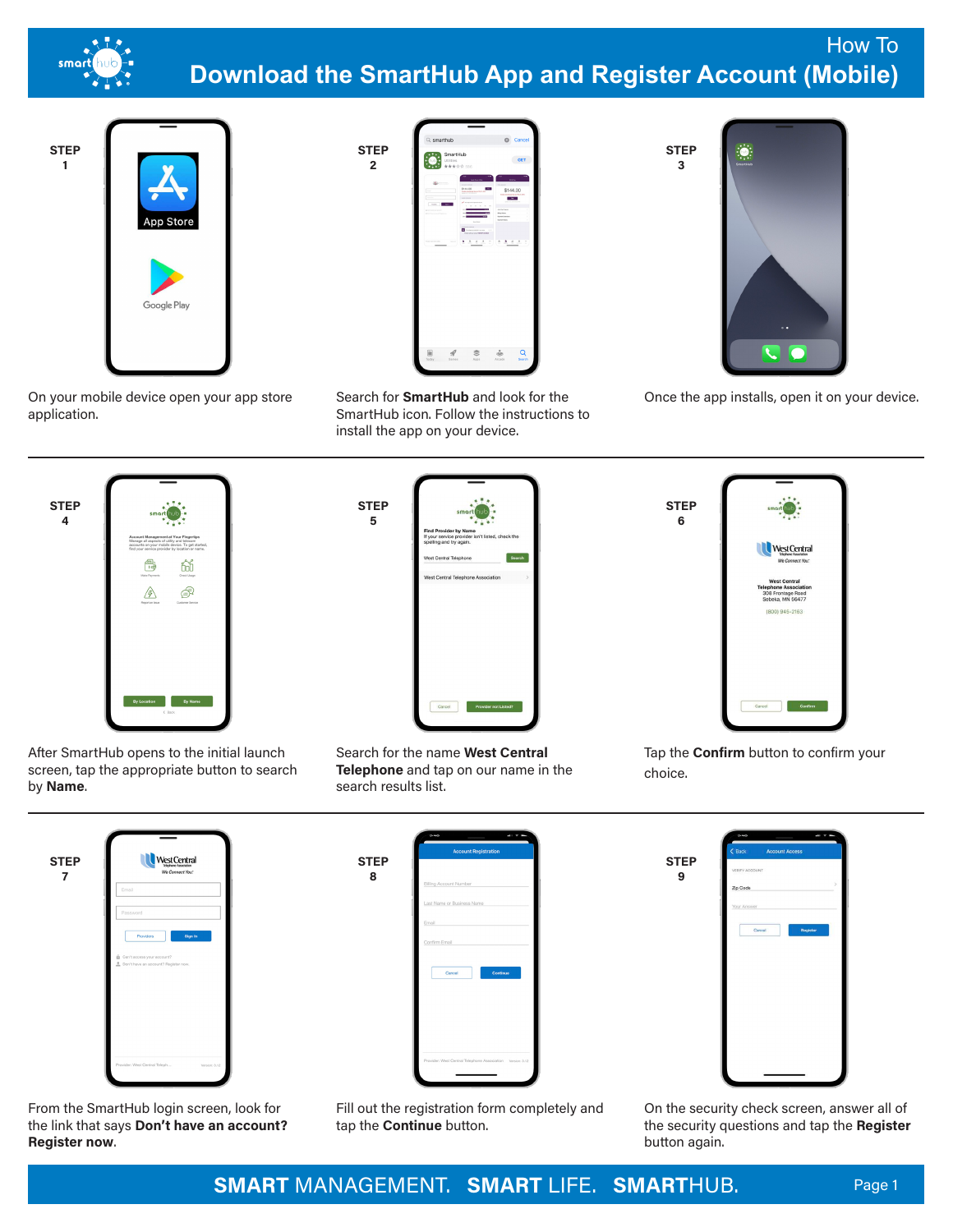

## How To **Download the SmartHub App and Register Account (Mobile)**



On your mobile device open your app store application.



**2**

Search for **SmartHub** and look for the SmartHub icon. Follow the instructions to install the app on your device.



**STEP 3**

Once the app installs, open it on your device.



After SmartHub opens to the initial launch screen, tap the appropriate button to search by **Name**.

| If your service provider isn't listed, check the<br>spelling and try again.<br>West Central Telephone | Search |   |
|-------------------------------------------------------------------------------------------------------|--------|---|
|                                                                                                       |        |   |
| West Central Telephone Association                                                                    |        | ь |
|                                                                                                       |        |   |
|                                                                                                       |        |   |
|                                                                                                       |        |   |
|                                                                                                       |        |   |
|                                                                                                       |        |   |
|                                                                                                       |        |   |
|                                                                                                       |        |   |
|                                                                                                       |        |   |
|                                                                                                       |        |   |
|                                                                                                       |        |   |
|                                                                                                       |        |   |
|                                                                                                       |        |   |
|                                                                                                       |        |   |

Search for the name **West Central Telephone** and tap on our name in the search results list.



Tap the **Confirm** button to confirm your choice.

| <b>STEP</b><br>7 | West Central<br>We Connect You:                                    |
|------------------|--------------------------------------------------------------------|
|                  | Email                                                              |
|                  | Password                                                           |
|                  | Providers<br>Sign In                                               |
|                  | Can't access your account?<br>Don't have an account? Register now. |
|                  |                                                                    |
|                  |                                                                    |
|                  |                                                                    |
|                  |                                                                    |
|                  |                                                                    |

From the SmartHub login screen, look for the link that says **Don't have an account? Register now**.

**STEP 8** Cancel



Fill out the registration form completely and tap the **Continue** button.

On the security check screen, answer all of the security questions and tap the **Register** button again.

**SMART** MANAGEMENT. **SMART** LIFE. **SMART**HUB. Page 1